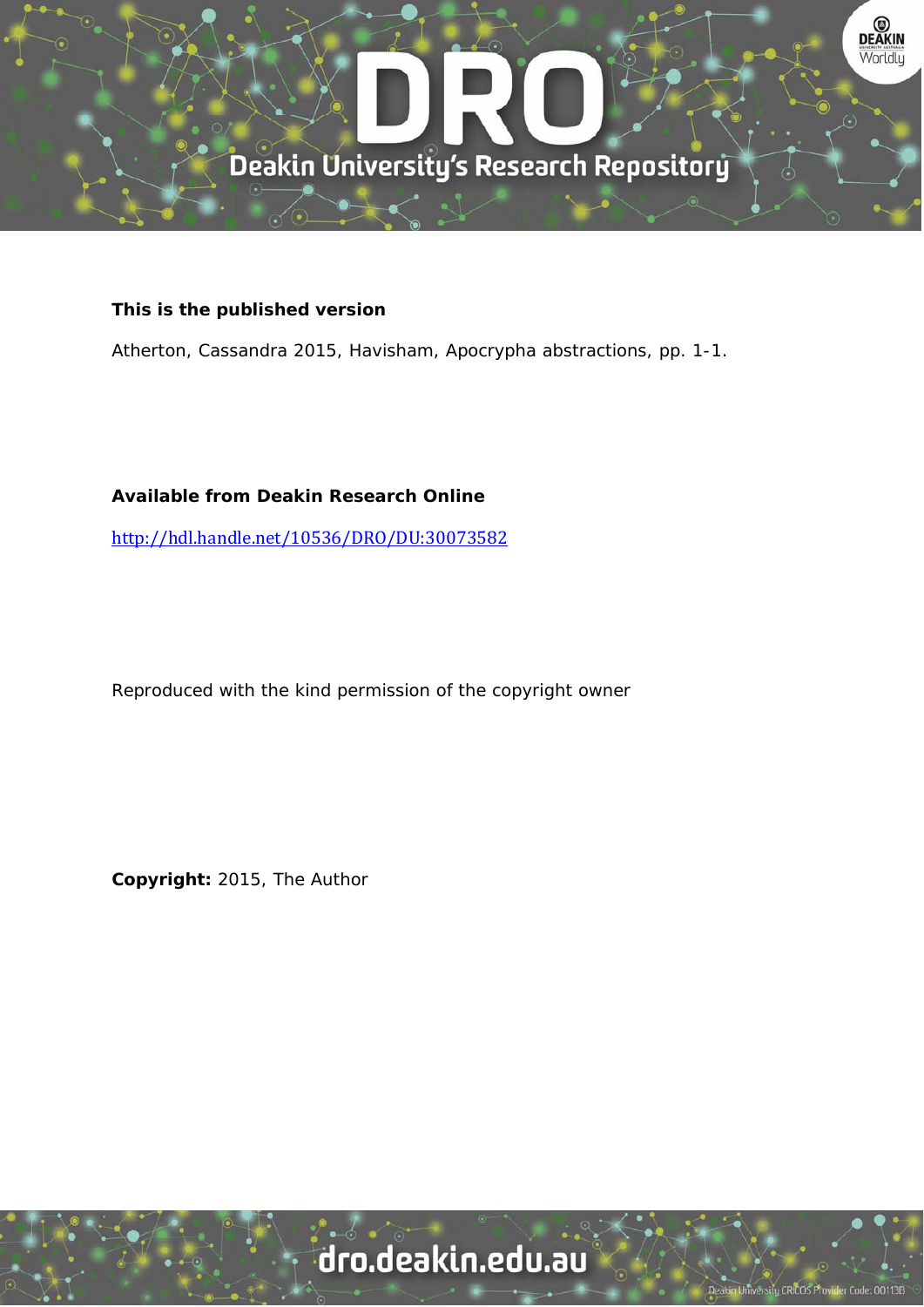

#### **This is the published version**

Atherton, Cassandra 2015, Havisham, Apocrypha abstractions, pp. 1-1.

### **Available from Deakin Research Online**

http://hdl.handle.net/10536/DRO/DU:30073582

Reproduced with the kind permission of the copyright owner

**Copyright:** 2015, The Author

# dro.deakin.edu.au

I University CRICOS Pro er Code: 00113B